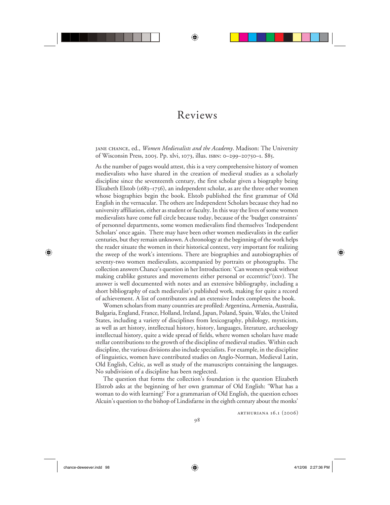## Reviews

⊕

jane chance, ed., *Women Medievalists and the Academy*. Madison: The University of Wisconsin Press, 2005. Pp. xlvi, 1073, illus. isbn: 0–299–20750–1. \$85.

As the number of pages would attest, this is a very comprehensive history of women medievalists who have shared in the creation of medieval studies as a scholarly discipline since the seventeenth century, the first scholar given a biography being Elizabeth Elstob (1683–1756), an independent scholar, as are the three other women whose biographies begin the book. Elstob published the first grammar of Old English in the vernacular. The others are Independent Scholars because they had no university affiliation, either as student or faculty. In this way the lives of some women medievalists have come full circle because today, because of the 'budget constraints' of personnel departments, some women medievalists find themselves 'Independent Scholars' once again. There may have been other women medievalists in the earlier centuries, but they remain unknown. A chronology at the beginning of the work helps the reader situate the women in their historical context, very important for realizing the sweep of the work's intentions. There are biographies and autobiographies of seventy-two women medievalists, accompanied by portraits or photographs. The collection answers Chance's question in her Introduction: 'Can women speak without making crablike gestures and movements either personal or eccentric?'(xxv). The answer is well documented with notes and an extensive bibliography, including a short bibliography of each medievalist's published work, making for quite a record of achievement. A list of contributors and an extensive Index completes the book.

Women scholars from many countries are profiled: Argentina, Armenia, Australia, Bulgaria, England, France, Holland, Ireland, Japan, Poland, Spain, Wales, the United States, including a variety of disciplines from lexicography, philology, mysticism, as well as art history, intellectual history, history, languages, literature, archaeology intellectual history, quite a wide spread of fields, where women scholars have made stellar contributions to the growth of the discipline of medieval studies. Within each discipline, the various divisions also include specialists. For example, in the discipline of linguistics, women have contributed studies on Anglo-Norman, Medieval Latin, Old English, Celtic, as well as study of the manuscripts containing the languages. No subdivision of a discipline has been neglected.

The question that forms the collection's foundation is the question Elizabeth Elstrob asks at the beginning of her own grammar of Old English: 'What has a woman to do with learning?' For a grammarian of Old English, the question echoes Alcuin's question to the bishop of Lindisfarne in the eighth century about the monks'

arthuriana 16.1 (2006)

chance-deweever.indd 98  $\bigoplus$  4/12/06 2:27:36 PM

 $\bigoplus$ 

⊕